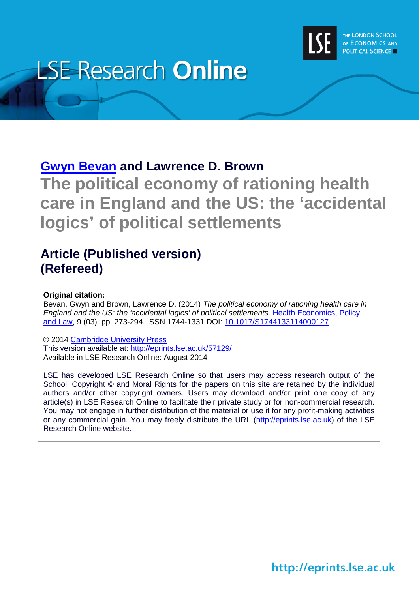

# **LSE Research Online**

# **[Gwyn Bevan](http://www.lse.ac.uk/researchAndExpertise/Experts/profile.aspx?KeyValue=R.G.Bevan@lse.ac.uk) and Lawrence D. Brown**

**The political economy of rationing health care in England and the US: the 'accidental logics' of political settlements**

# **Article (Published version) (Refereed)**

#### **Original citation:**

Bevan, Gwyn and Brown, Lawrence D. (2014) *The political economy of rationing health care in England and the US: the 'accidental logics' of political settlements.* [Health Economics, Policy](http://journals.cambridge.org/action/displayJournal?jid=HEP)  [and Law,](http://journals.cambridge.org/action/displayJournal?jid=HEP) 9 (03). pp. 273-294. ISSN 1744-1331 DOI: [10.1017/S1744133114000127](http://dx.doi.org/10.1017/S1744133114000127)

© 2014 [Cambridge University Press](http://journals.cambridge.org/) This version available at:<http://eprints.lse.ac.uk/57129/> Available in LSE Research Online: August 2014

LSE has developed LSE Research Online so that users may access research output of the School. Copyright © and Moral Rights for the papers on this site are retained by the individual authors and/or other copyright owners. Users may download and/or print one copy of any article(s) in LSE Research Online to facilitate their private study or for non-commercial research. You may not engage in further distribution of the material or use it for any profit-making activities or any commercial gain. You may freely distribute the URL (http://eprints.lse.ac.uk) of the LSE Research Online website.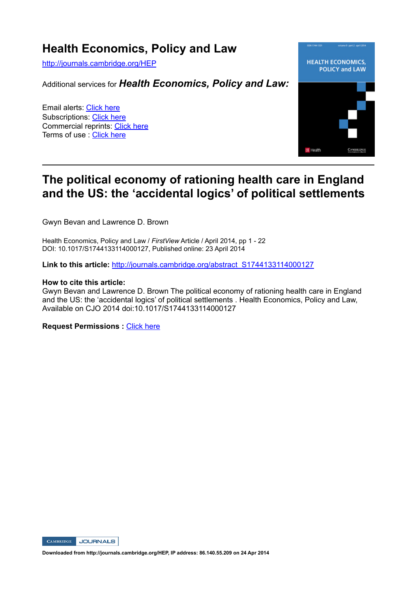## **Health Economics, Policy and Law**

http://journals.cambridge.org/HEP

Additional services for *Health Economics, Policy and Law:*

Email alerts: Click here Subscriptions: Click here Commercial reprints: Click here Terms of use : Click here



### **The political economy of rationing health care in England and the US: the 'accidental logics' of political settlements**

Gwyn Bevan and Lawrence D. Brown

Health Economics, Policy and Law / *FirstView* Article / April 2014, pp 1 - 22 DOI: 10.1017/S1744133114000127, Published online: 23 April 2014

**Link to this article:** http://journals.cambridge.org/abstract\_S1744133114000127

#### **How to cite this article:**

Gwyn Bevan and Lawrence D. Brown The political economy of rationing health care in England and the US: the 'accidental logics' of political settlements . Health Economics, Policy and Law, Available on CJO 2014 doi:10.1017/S1744133114000127

**Request Permissions :** Click here



**Downloaded from http://journals.cambridge.org/HEP, IP address: 86.140.55.209 on 24 Apr 2014**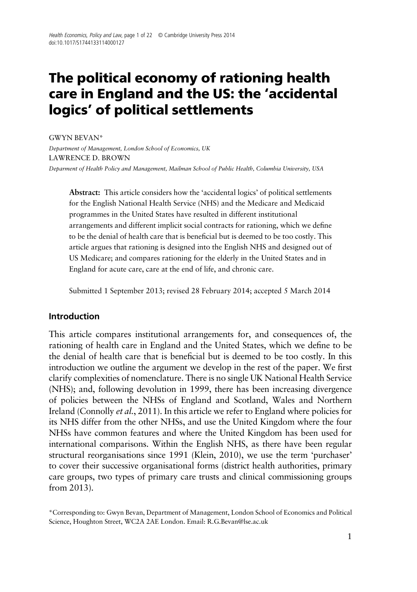## The political economy of rationing health care in England and the US: the 'accidental logics' of political settlements

GWYN BEVAN\* Department of Management, London School of Economics, UK LAWRENCE D. BROWN Deparment of Health Policy and Management, Mailman School of Public Health, Columbia University, USA

Abstract: This article considers how the 'accidental logics' of political settlements for the English National Health Service (NHS) and the Medicare and Medicaid programmes in the United States have resulted in different institutional arrangements and different implicit social contracts for rationing, which we define to be the denial of health care that is beneficial but is deemed to be too costly. This article argues that rationing is designed into the English NHS and designed out of US Medicare; and compares rationing for the elderly in the United States and in England for acute care, care at the end of life, and chronic care.

Submitted 1 September 2013; revised 28 February 2014; accepted 5 March 2014

#### Introduction

This article compares institutional arrangements for, and consequences of, the rationing of health care in England and the United States, which we define to be the denial of health care that is beneficial but is deemed to be too costly. In this introduction we outline the argument we develop in the rest of the paper. We first clarify complexities of nomenclature. There is no single UK National Health Service (NHS); and, following devolution in 1999, there has been increasing divergence of policies between the NHSs of England and Scotland, Wales and Northern Ireland (Connolly et al., [2011\)](#page-20-0). In this article we refer to England where policies for its NHS differ from the other NHSs, and use the United Kingdom where the four NHSs have common features and where the United Kingdom has been used for international comparisons. Within the English NHS, as there have been regular structural reorganisations since 1991 (Klein, [2010](#page-21-0)), we use the term 'purchaser' to cover their successive organisational forms (district health authorities, primary care groups, two types of primary care trusts and clinical commissioning groups from 2013).

<sup>\*</sup>Corresponding to: Gwyn Bevan, Department of Management, London School of Economics and Political Science, Houghton Street, WC2A 2AE London. Email: [R.G.Bevan@lse.ac.uk](mailto:R.G.Bevan@lse.ac.uk)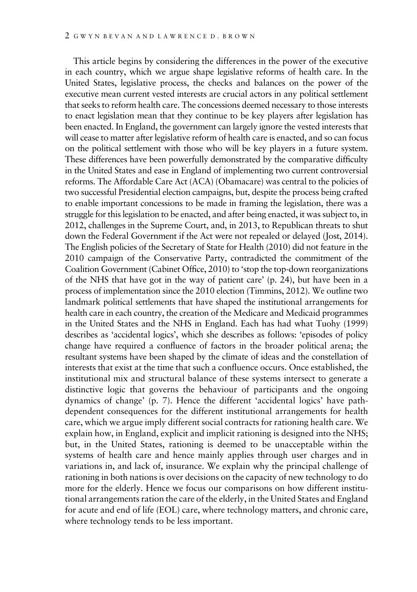This article begins by considering the differences in the power of the executive in each country, which we argue shape legislative reforms of health care. In the United States, legislative process, the checks and balances on the power of the executive mean current vested interests are crucial actors in any political settlement that seeks to reform health care. The concessions deemed necessary to those interests to enact legislation mean that they continue to be key players after legislation has been enacted. In England, the government can largely ignore the vested interests that will cease to matter after legislative reform of health care is enacted, and so can focus on the political settlement with those who will be key players in a future system. These differences have been powerfully demonstrated by the comparative difficulty in the United States and ease in England of implementing two current controversial reforms. The Affordable Care Act (ACA) (Obamacare) was central to the policies of two successful Presidential election campaigns, but, despite the process being crafted to enable important concessions to be made in framing the legislation, there was a struggle for this legislation to be enacted, and after being enacted, it was subject to, in 2012, challenges in the Supreme Court, and, in 2013, to Republican threats to shut down the Federal Government if the Act were not repealed or delayed (Jost, [2014](#page-21-0)). The English policies of the Secretary of State for Health ([2010](#page-22-0)) did not feature in the 2010 campaign of the Conservative Party, contradicted the commitment of the Coalition Government (Cabinet Office, [2010\)](#page-20-0) to 'stop the top-down reorganizations of the NHS that have got in the way of patient care' (p. 24), but have been in a process of implementation since the 2010 election (Timmins, [2012\)](#page-22-0). We outline two landmark political settlements that have shaped the institutional arrangements for health care in each country, the creation of the Medicare and Medicaid programmes in the United States and the NHS in England. Each has had what Tuohy ([1999](#page-22-0)) describes as 'accidental logics', which she describes as follows: 'episodes of policy change have required a confluence of factors in the broader political arena; the resultant systems have been shaped by the climate of ideas and the constellation of interests that exist at the time that such a confluence occurs. Once established, the institutional mix and structural balance of these systems intersect to generate a distinctive logic that governs the behaviour of participants and the ongoing dynamics of change' (p. 7). Hence the different 'accidental logics' have pathdependent consequences for the different institutional arrangements for health care, which we argue imply different social contracts for rationing health care. We explain how, in England, explicit and implicit rationing is designed into the NHS; but, in the United States, rationing is deemed to be unacceptable within the systems of health care and hence mainly applies through user charges and in variations in, and lack of, insurance. We explain why the principal challenge of rationing in both nations is over decisions on the capacity of new technology to do more for the elderly. Hence we focus our comparisons on how different institutional arrangements ration the care of the elderly, in the United States and England for acute and end of life (EOL) care, where technology matters, and chronic care, where technology tends to be less important.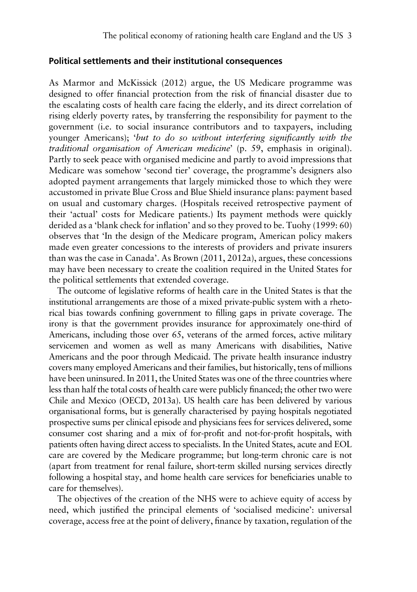#### Political settlements and their institutional consequences

As Marmor and McKissick [\(2012](#page-21-0)) argue, the US Medicare programme was designed to offer financial protection from the risk of financial disaster due to the escalating costs of health care facing the elderly, and its direct correlation of rising elderly poverty rates, by transferring the responsibility for payment to the government (i.e. to social insurance contributors and to taxpayers, including younger Americans); 'but to do so without interfering significantly with the traditional organisation of American medicine' (p. 59, emphasis in original). Partly to seek peace with organised medicine and partly to avoid impressions that Medicare was somehow 'second tier' coverage, the programme's designers also adopted payment arrangements that largely mimicked those to which they were accustomed in private Blue Cross and Blue Shield insurance plans: payment based on usual and customary charges. (Hospitals received retrospective payment of their 'actual' costs for Medicare patients.) Its payment methods were quickly derided as a 'blank check for inflation' and so they proved to be. Tuohy [\(1999:](#page-22-0) 60) observes that 'In the design of the Medicare program, American policy makers made even greater concessions to the interests of providers and private insurers than was the case in Canada'. As Brown ([2011, 2012](#page-20-0)a), argues, these concessions may have been necessary to create the coalition required in the United States for the political settlements that extended coverage.

The outcome of legislative reforms of health care in the United States is that the institutional arrangements are those of a mixed private-public system with a rhetorical bias towards confining government to filling gaps in private coverage. The irony is that the government provides insurance for approximately one-third of Americans, including those over 65, veterans of the armed forces, active military servicemen and women as well as many Americans with disabilities, Native Americans and the poor through Medicaid. The private health insurance industry covers many employed Americans and their families, but historically, tens of millions have been uninsured. In 2011, the United States was one of the three countries where less than half the total costs of health care were publicly financed; the other two were Chile and Mexico (OECD, [2013a\)](#page-21-0). US health care has been delivered by various organisational forms, but is generally characterised by paying hospitals negotiated prospective sums per clinical episode and physicians fees for services delivered, some consumer cost sharing and a mix of for-profit and not-for-profit hospitals, with patients often having direct access to specialists. In the United States, acute and EOL care are covered by the Medicare programme; but long-term chronic care is not (apart from treatment for renal failure, short-term skilled nursing services directly following a hospital stay, and home health care services for beneficiaries unable to care for themselves).

The objectives of the creation of the NHS were to achieve equity of access by need, which justified the principal elements of 'socialised medicine': universal coverage, access free at the point of delivery, finance by taxation, regulation of the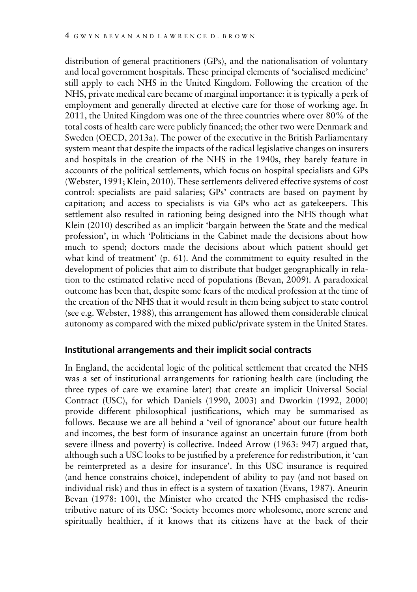distribution of general practitioners (GPs), and the nationalisation of voluntary and local government hospitals. These principal elements of 'socialised medicine' still apply to each NHS in the United Kingdom. Following the creation of the NHS, private medical care became of marginal importance: it is typically a perk of employment and generally directed at elective care for those of working age. In 2011, the United Kingdom was one of the three countries where over 80% of the total costs of health care were publicly financed; the other two were Denmark and Sweden (OECD, [2013a](#page-21-0)). The power of the executive in the British Parliamentary system meant that despite the impacts of the radical legislative changes on insurers and hospitals in the creation of the NHS in the 1940s, they barely feature in accounts of the political settlements, which focus on hospital specialists and GPs (Webster, [1991](#page-22-0); Klein, [2010\)](#page-21-0). These settlements delivered effective systems of cost control: specialists are paid salaries; GPs' contracts are based on payment by capitation; and access to specialists is via GPs who act as gatekeepers. This settlement also resulted in rationing being designed into the NHS though what Klein ([2010\)](#page-21-0) described as an implicit 'bargain between the State and the medical profession', in which 'Politicians in the Cabinet made the decisions about how much to spend; doctors made the decisions about which patient should get what kind of treatment' (p. 61). And the commitment to equity resulted in the development of policies that aim to distribute that budget geographically in relation to the estimated relative need of populations (Bevan, [2009\)](#page-19-0). A paradoxical outcome has been that, despite some fears of the medical profession at the time of the creation of the NHS that it would result in them being subject to state control (see e.g. Webster, [1988](#page-22-0)), this arrangement has allowed them considerable clinical autonomy as compared with the mixed public/private system in the United States.

#### Institutional arrangements and their implicit social contracts

In England, the accidental logic of the political settlement that created the NHS was a set of institutional arrangements for rationing health care (including the three types of care we examine later) that create an implicit Universal Social Contract (USC), for which Daniels ([1990, 2003](#page-20-0)) and Dworkin [\(1992](#page-20-0), [2000](#page-20-0)) provide different philosophical justifications, which may be summarised as follows. Because we are all behind a 'veil of ignorance' about our future health and incomes, the best form of insurance against an uncertain future (from both severe illness and poverty) is collective. Indeed Arrow ([1963](#page-19-0): 947) argued that, although such a USC looks to be justified by a preference for redistribution, it 'can be reinterpreted as a desire for insurance'. In this USC insurance is required (and hence constrains choice), independent of ability to pay (and not based on individual risk) and thus in effect is a system of taxation (Evans, [1987](#page-20-0)). Aneurin Bevan (1978: 100), the Minister who created the NHS emphasised the redistributive nature of its USC: 'Society becomes more wholesome, more serene and spiritually healthier, if it knows that its citizens have at the back of their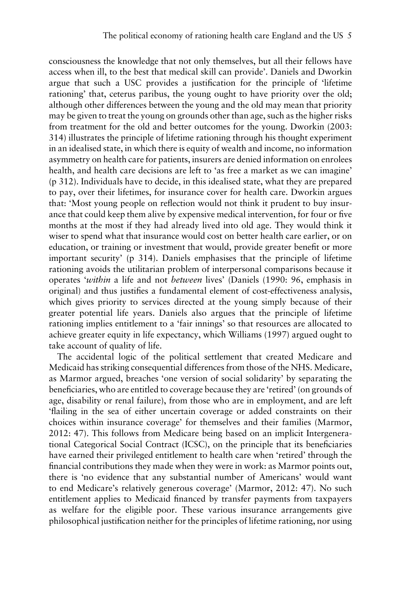consciousness the knowledge that not only themselves, but all their fellows have access when ill, to the best that medical skill can provide'. Daniels and Dworkin argue that such a USC provides a justification for the principle of 'lifetime rationing' that, ceterus paribus, the young ought to have priority over the old; although other differences between the young and the old may mean that priority may be given to treat the young on grounds other than age, such as the higher risks from treatment for the old and better outcomes for the young. Dworkin (2003: 314) illustrates the principle of lifetime rationing through his thought experiment in an idealised state, in which there is equity of wealth and income, no information asymmetry on health care for patients, insurers are denied information on enrolees health, and health care decisions are left to 'as free a market as we can imagine' (p 312). Individuals have to decide, in this idealised state, what they are prepared to pay, over their lifetimes, for insurance cover for health care. Dworkin argues that: 'Most young people on reflection would not think it prudent to buy insurance that could keep them alive by expensive medical intervention, for four or five months at the most if they had already lived into old age. They would think it wiser to spend what that insurance would cost on better health care earlier, or on education, or training or investment that would, provide greater benefit or more important security' (p 314). Daniels emphasises that the principle of lifetime rationing avoids the utilitarian problem of interpersonal comparisons because it operates 'within a life and not between lives' (Daniels [\(1990](#page-20-0): 96, emphasis in original) and thus justifies a fundamental element of cost-effectiveness analysis, which gives priority to services directed at the young simply because of their greater potential life years. Daniels also argues that the principle of lifetime rationing implies entitlement to a 'fair innings' so that resources are allocated to achieve greater equity in life expectancy, which Williams ([1997](#page-23-0)) argued ought to take account of quality of life.

The accidental logic of the political settlement that created Medicare and Medicaid has striking consequential differences from those of the NHS. Medicare, as Marmor argued, breaches 'one version of social solidarity' by separating the beneficiaries, who are entitled to coverage because they are 'retired' (on grounds of age, disability or renal failure), from those who are in employment, and are left 'flailing in the sea of either uncertain coverage or added constraints on their choices within insurance coverage' for themselves and their families (Marmor, [2012:](#page-21-0) 47). This follows from Medicare being based on an implicit Intergenerational Categorical Social Contract (ICSC), on the principle that its beneficiaries have earned their privileged entitlement to health care when 'retired' through the financial contributions they made when they were in work: as Marmor points out, there is 'no evidence that any substantial number of Americans' would want to end Medicare's relatively generous coverage' (Marmor, [2012](#page-21-0): 47). No such entitlement applies to Medicaid financed by transfer payments from taxpayers as welfare for the eligible poor. These various insurance arrangements give philosophical justification neither for the principles of lifetime rationing, nor using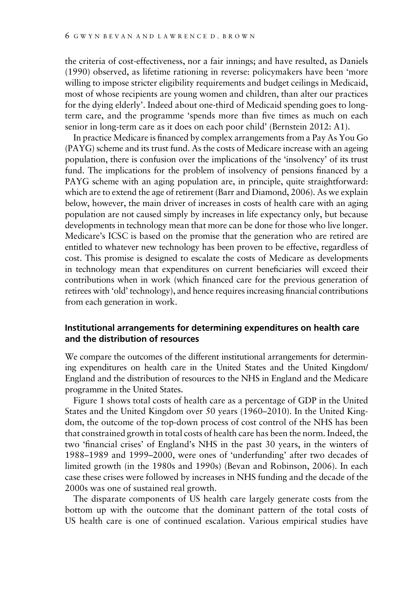the criteria of cost-effectiveness, nor a fair innings; and have resulted, as Daniels [\(1990](#page-20-0)) observed, as lifetime rationing in reverse: policymakers have been 'more willing to impose stricter eligibility requirements and budget ceilings in Medicaid, most of whose recipients are young women and children, than alter our practices for the dying elderly'. Indeed about one-third of Medicaid spending goes to longterm care, and the programme 'spends more than five times as much on each senior in long-term care as it does on each poor child' (Bernstein [2012](#page-19-0): A1).

In practice Medicare is financed by complex arrangements from a Pay As You Go (PAYG) scheme and its trust fund. As the costs of Medicare increase with an ageing population, there is confusion over the implications of the 'insolvency' of its trust fund. The implications for the problem of insolvency of pensions financed by a PAYG scheme with an aging population are, in principle, quite straightforward: which are to extend the age of retirement (Barr and Diamond, 2006). As we explain below, however, the main driver of increases in costs of health care with an aging population are not caused simply by increases in life expectancy only, but because developments in technology mean that more can be done for those who live longer. Medicare's ICSC is based on the promise that the generation who are retired are entitled to whatever new technology has been proven to be effective, regardless of cost. This promise is designed to escalate the costs of Medicare as developments in technology mean that expenditures on current beneficiaries will exceed their contributions when in work (which financed care for the previous generation of retirees with 'old' technology), and hence requires increasing financial contributions from each generation in work.

#### Institutional arrangements for determining expenditures on health care and the distribution of resources

We compare the outcomes of the different institutional arrangements for determining expenditures on health care in the United States and the United Kingdom/ England and the distribution of resources to the NHS in England and the Medicare programme in the United States.

[Figure 1](#page-8-0) shows total costs of health care as a percentage of GDP in the United States and the United Kingdom over 50 years (1960–2010). In the United Kingdom, the outcome of the top-down process of cost control of the NHS has been that constrained growth in total costs of health care has been the norm. Indeed, the two 'financial crises' of England's NHS in the past 30 years, in the winters of 1988–1989 and 1999–2000, were ones of 'underfunding' after two decades of limited growth (in the 1980s and 1990s) (Bevan and Robinson, 2006). In each case these crises were followed by increases in NHS funding and the decade of the 2000s was one of sustained real growth.

The disparate components of US health care largely generate costs from the bottom up with the outcome that the dominant pattern of the total costs of US health care is one of continued escalation. Various empirical studies have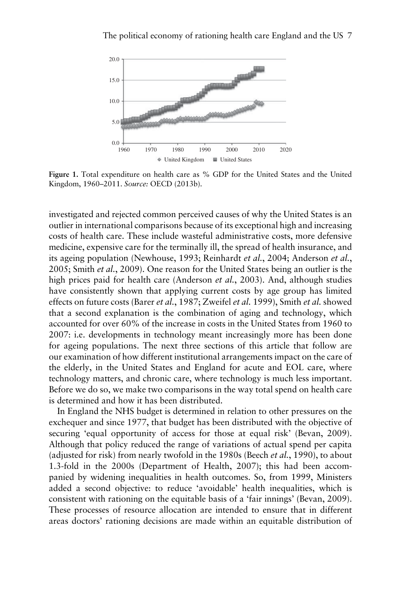<span id="page-8-0"></span>

Figure 1. Total expenditure on health care as % GDP for the United States and the United Kingdom, 1960–2011. Source: OECD (2013b).

investigated and rejected common perceived causes of why the United States is an outlier in international comparisons because of its exceptional high and increasing costs of health care. These include wasteful administrative costs, more defensive medicine, expensive care for the terminally ill, the spread of health insurance, and its ageing population (Newhouse, [1993;](#page-21-0) Reinhardt et al., [2004](#page-22-0); Anderson et al., [2005;](#page-19-0) Smith et al., [2009\)](#page-22-0). One reason for the United States being an outlier is the high prices paid for health care (Anderson et al., [2003](#page-19-0)). And, although studies have consistently shown that applying current costs by age group has limited effects on future costs (Barer et al., [1987](#page-19-0); Zweifel et al. [1999](#page-23-0)), Smith et al. showed that a second explanation is the combination of aging and technology, which accounted for over 60% of the increase in costs in the United States from 1960 to 2007: i.e. developments in technology meant increasingly more has been done for ageing populations. The next three sections of this article that follow are our examination of how different institutional arrangements impact on the care of the elderly, in the United States and England for acute and EOL care, where technology matters, and chronic care, where technology is much less important. Before we do so, we make two comparisons in the way total spend on health care is determined and how it has been distributed.

In England the NHS budget is determined in relation to other pressures on the exchequer and since 1977, that budget has been distributed with the objective of securing 'equal opportunity of access for those at equal risk' (Bevan, [2009](#page-19-0)). Although that policy reduced the range of variations of actual spend per capita (adjusted for risk) from nearly twofold in the 1980s (Beech *et al.*, [1990](#page-19-0)), to about 1.3-fold in the 2000s (Department of Health, [2007\)](#page-20-0); this had been accompanied by widening inequalities in health outcomes. So, from 1999, Ministers added a second objective: to reduce 'avoidable' health inequalities, which is consistent with rationing on the equitable basis of a 'fair innings' (Bevan, [2009](#page-19-0)). These processes of resource allocation are intended to ensure that in different areas doctors' rationing decisions are made within an equitable distribution of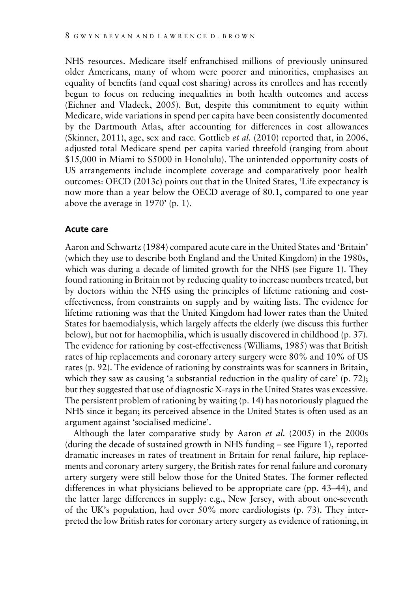NHS resources. Medicare itself enfranchised millions of previously uninsured older Americans, many of whom were poorer and minorities, emphasises an equality of benefits (and equal cost sharing) across its enrollees and has recently begun to focus on reducing inequalities in both health outcomes and access (Eichner and Vladeck, [2005\)](#page-20-0). But, despite this commitment to equity within Medicare, wide variations in spend per capita have been consistently documented by the Dartmouth Atlas, after accounting for differences in cost allowances (Skinner, [2011](#page-22-0)), age, sex and race. Gottlieb et al. [\(2010\)](#page-21-0) reported that, in 2006, adjusted total Medicare spend per capita varied threefold (ranging from about \$15,000 in Miami to \$5000 in Honolulu). The unintended opportunity costs of US arrangements include incomplete coverage and comparatively poor health outcomes: OECD [\(2013c\)](#page-22-0) points out that in the United States, 'Life expectancy is now more than a year below the OECD average of 80.1, compared to one year above the average in 1970' (p. 1).

#### Acute care

Aaron and Schwartz ([1984\)](#page-19-0) compared acute care in the United States and 'Britain' (which they use to describe both England and the United Kingdom) in the 1980s, which was during a decade of limited growth for the NHS (see [Figure 1](#page-8-0)). They found rationing in Britain not by reducing quality to increase numbers treated, but by doctors within the NHS using the principles of lifetime rationing and costeffectiveness, from constraints on supply and by waiting lists. The evidence for lifetime rationing was that the United Kingdom had lower rates than the United States for haemodialysis, which largely affects the elderly (we discuss this further below), but not for haemophilia, which is usually discovered in childhood (p. 37). The evidence for rationing by cost-effectiveness (Williams, 1985) was that British rates of hip replacements and coronary artery surgery were 80% and 10% of US rates (p. 92). The evidence of rationing by constraints was for scanners in Britain, which they saw as causing 'a substantial reduction in the quality of care' (p. 72); but they suggested that use of diagnostic X-rays in the United States was excessive. The persistent problem of rationing by waiting (p. 14) has notoriously plagued the NHS since it began; its perceived absence in the United States is often used as an argument against 'socialised medicine'.

Although the later comparative study by Aaron et al. ([2005\)](#page-19-0) in the 2000s (during the decade of sustained growth in NHS funding – see [Figure 1\)](#page-8-0), reported dramatic increases in rates of treatment in Britain for renal failure, hip replacements and coronary artery surgery, the British rates for renal failure and coronary artery surgery were still below those for the United States. The former reflected differences in what physicians believed to be appropriate care (pp. 43–44), and the latter large differences in supply: e.g., New Jersey, with about one-seventh of the UK's population, had over 50% more cardiologists (p. 73). They interpreted the low British rates for coronary artery surgery as evidence of rationing, in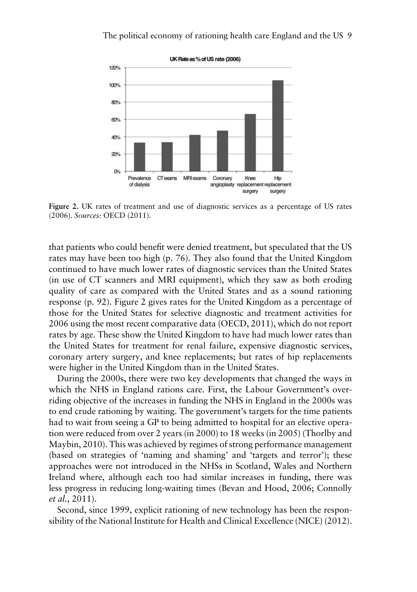

Figure 2. UK rates of treatment and use of diagnostic services as a percentage of US rates (2006). Sources: OECD ([2011](#page-21-0)).

that patients who could benefit were denied treatment, but speculated that the US rates may have been too high (p. 76). They also found that the United Kingdom continued to have much lower rates of diagnostic services than the United States (in use of CT scanners and MRI equipment), which they saw as both eroding quality of care as compared with the United States and as a sound rationing response (p. 92). Figure 2 gives rates for the United Kingdom as a percentage of those for the United States for selective diagnostic and treatment activities for 2006 using the most recent comparative data (OECD, [2011\)](#page-21-0), which do not report rates by age. These show the United Kingdom to have had much lower rates than the United States for treatment for renal failure, expensive diagnostic services, coronary artery surgery, and knee replacements; but rates of hip replacements were higher in the United Kingdom than in the United States.

During the 2000s, there were two key developments that changed the ways in which the NHS in England rations care. First, the Labour Government's overriding objective of the increases in funding the NHS in England in the 2000s was to end crude rationing by waiting. The government's targets for the time patients had to wait from seeing a GP to being admitted to hospital for an elective operation were reduced from over 2 years (in 2000) to 18 weeks (in 2005) (Thorlby and Maybin, [2010](#page-22-0)). This was achieved by regimes of strong performance management (based on strategies of 'naming and shaming' and 'targets and terror'); these approaches were not introduced in the NHSs in Scotland, Wales and Northern Ireland where, although each too had similar increases in funding, there was less progress in reducing long-waiting times (Bevan and Hood, [2006;](#page-20-0) Connolly et al., [2011](#page-20-0)).

Second, since 1999, explicit rationing of new technology has been the responsibility of the National Institute for Health and Clinical Excellence (NICE) [\(2012](#page-21-0)).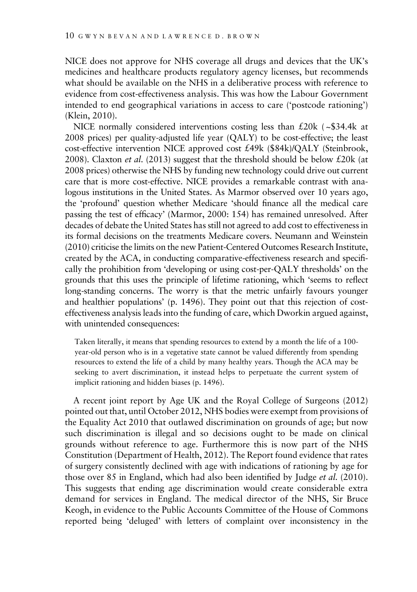NICE does not approve for NHS coverage all drugs and devices that the UK's medicines and healthcare products regulatory agency licenses, but recommends what should be available on the NHS in a deliberative process with reference to evidence from cost-effectiveness analysis. This was how the Labour Government intended to end geographical variations in access to care ('postcode rationing') (Klein, [2010](#page-21-0)).

NICE normally considered interventions costing less than  $£20k$  ( $~$ -\$34.4k at 2008 prices) per quality-adjusted life year (QALY) to be cost-effective; the least cost-effective intervention NICE approved cost £49k (\$84k)/QALY (Steinbrook, [2008](#page-22-0)). Claxton et al. ([2013\)](#page-20-0) suggest that the threshold should be below  $£20k$  (at 2008 prices) otherwise the NHS by funding new technology could drive out current care that is more cost-effective. NICE provides a remarkable contrast with analogous institutions in the United States. As Marmor observed over 10 years ago, the 'profound' question whether Medicare 'should finance all the medical care passing the test of efficacy' (Marmor, [2000:](#page-21-0) 154) has remained unresolved. After decades of debate the United States has still not agreed to add cost to effectiveness in its formal decisions on the treatments Medicare covers. Neumann and Weinstein [\(2010\)](#page-21-0) criticise the limits on the new Patient-Centered Outcomes Research Institute, created by the ACA, in conducting comparative-effectiveness research and specifically the prohibition from 'developing or using cost-per-QALY thresholds' on the grounds that this uses the principle of lifetime rationing, which 'seems to reflect long-standing concerns. The worry is that the metric unfairly favours younger and healthier populations' (p. 1496). They point out that this rejection of costeffectiveness analysis leads into the funding of care, which Dworkin argued against, with unintended consequences:

Taken literally, it means that spending resources to extend by a month the life of a 100 year-old person who is in a vegetative state cannot be valued differently from spending resources to extend the life of a child by many healthy years. Though the ACA may be seeking to avert discrimination, it instead helps to perpetuate the current system of implicit rationing and hidden biases (p. 1496).

A recent joint report by Age UK and the Royal College of Surgeons [\(2012](#page-22-0)) pointed out that, until October 2012, NHS bodies were exempt from provisions of the Equality Act 2010 that outlawed discrimination on grounds of age; but now such discrimination is illegal and so decisions ought to be made on clinical grounds without reference to age. Furthermore this is now part of the NHS Constitution (Department of Health, [2012](#page-20-0)). The Report found evidence that rates of surgery consistently declined with age with indications of rationing by age for those over 85 in England, which had also been identified by Judge *et al.* (2010). This suggests that ending age discrimination would create considerable extra demand for services in England. The medical director of the NHS, Sir Bruce Keogh, in evidence to the Public Accounts Committee of the House of Commons reported being 'deluged' with letters of complaint over inconsistency in the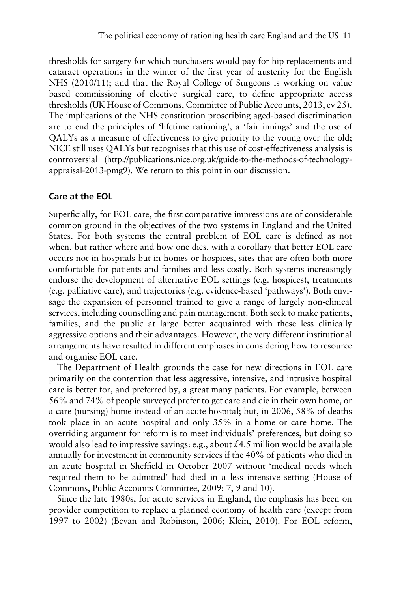thresholds for surgery for which purchasers would pay for hip replacements and cataract operations in the winter of the first year of austerity for the English NHS (2010/11); and that the Royal College of Surgeons is working on value based commissioning of elective surgical care, to define appropriate access thresholds (UK House of Commons, Committee of Public Accounts, [2013,](#page-22-0) ev 25). The implications of the NHS constitution proscribing aged-based discrimination are to end the principles of 'lifetime rationing', a 'fair innings' and the use of QALYs as a measure of effectiveness to give priority to the young over the old; NICE still uses QALYs but recognises that this use of cost-effectiveness analysis is controversial [\(http://publications.nice.org.uk/guide-to-the-methods-of-technology](http://publications.nice.org.uk/guide-to-the-methods-of-technology-appraisal-2013-pmg9)[appraisal-2013-pmg9\)](http://publications.nice.org.uk/guide-to-the-methods-of-technology-appraisal-2013-pmg9). We return to this point in our discussion.

#### Care at the EOL

Superficially, for EOL care, the first comparative impressions are of considerable common ground in the objectives of the two systems in England and the United States. For both systems the central problem of EOL care is defined as not when, but rather where and how one dies, with a corollary that better EOL care occurs not in hospitals but in homes or hospices, sites that are often both more comfortable for patients and families and less costly. Both systems increasingly endorse the development of alternative EOL settings (e.g. hospices), treatments (e.g. palliative care), and trajectories (e.g. evidence-based 'pathways'). Both envisage the expansion of personnel trained to give a range of largely non-clinical services, including counselling and pain management. Both seek to make patients, families, and the public at large better acquainted with these less clinically aggressive options and their advantages. However, the very different institutional arrangements have resulted in different emphases in considering how to resource and organise EOL care.

The Department of Health grounds the case for new directions in EOL care primarily on the contention that less aggressive, intensive, and intrusive hospital care is better for, and preferred by, a great many patients. For example, between 56% and 74% of people surveyed prefer to get care and die in their own home, or a care (nursing) home instead of an acute hospital; but, in 2006, 58% of deaths took place in an acute hospital and only 35% in a home or care home. The overriding argument for reform is to meet individuals' preferences, but doing so would also lead to impressive savings: e.g., about  $\text{\pounds}4.5$  million would be available annually for investment in community services if the 40% of patients who died in an acute hospital in Sheffield in October 2007 without 'medical needs which required them to be admitted' had died in a less intensive setting (House of Commons, Public Accounts Committee, [2009:](#page-21-0) 7, 9 and 10).

Since the late 1980s, for acute services in England, the emphasis has been on provider competition to replace a planned economy of health care (except from 1997 to 2002) (Bevan and Robinson, 2006; Klein, [2010](#page-21-0)). For EOL reform,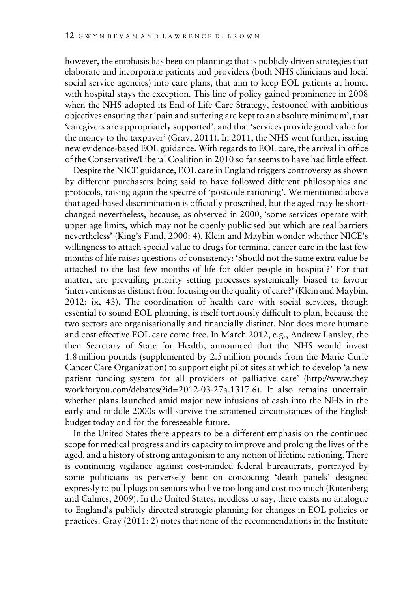however, the emphasis has been on planning: that is publicly driven strategies that elaborate and incorporate patients and providers (both NHS clinicians and local social service agencies) into care plans, that aim to keep EOL patients at home, with hospital stays the exception. This line of policy gained prominence in 2008 when the NHS adopted its End of Life Care Strategy, festooned with ambitious objectives ensuring that 'pain and suffering are kept to an absolute minimum', that 'caregivers are appropriately supported', and that 'services provide good value for the money to the taxpayer' (Gray, [2011](#page-21-0)). In 2011, the NHS went further, issuing new evidence-based EOL guidance. With regards to EOL care, the arrival in office of the Conservative/Liberal Coalition in 2010 so far seems to have had little effect.

Despite the NICE guidance, EOL care in England triggers controversy as shown by different purchasers being said to have followed different philosophies and protocols, raising again the spectre of 'postcode rationing'. We mentioned above that aged-based discrimination is officially proscribed, but the aged may be shortchanged nevertheless, because, as observed in 2000, 'some services operate with upper age limits, which may not be openly publicised but which are real barriers nevertheless' (King's Fund, [2000](#page-21-0): 4). Klein and Maybin wonder whether NICE's willingness to attach special value to drugs for terminal cancer care in the last few months of life raises questions of consistency: 'Should not the same extra value be attached to the last few months of life for older people in hospital?' For that matter, are prevailing priority setting processes systemically biased to favour 'interventions as distinct from focusing on the quality of care?' (Klein and Maybin, [2012:](#page-21-0) ix, 43). The coordination of health care with social services, though essential to sound EOL planning, is itself tortuously difficult to plan, because the two sectors are organisationally and financially distinct. Nor does more humane and cost effective EOL care come free. In March 2012, e.g., Andrew Lansley, the then Secretary of State for Health, announced that the NHS would invest 1.8 million pounds (supplemented by 2.5 million pounds from the Marie Curie Cancer Care Organization) to support eight pilot sites at which to develop 'a new patient funding system for all providers of palliative care' ([http://www.they](http://www.theyworkforyou.com/debates/?id=2012-03-27a.1317.6) [workforyou.com/debates/?id](http://www.theyworkforyou.com/debates/?id=2012-03-27a.1317.6)=2012-03-27a.1317.6). It also remains uncertain whether plans launched amid major new infusions of cash into the NHS in the early and middle 2000s will survive the straitened circumstances of the English budget today and for the foreseeable future.

In the United States there appears to be a different emphasis on the continued scope for medical progress and its capacity to improve and prolong the lives of the aged, and a history of strong antagonism to any notion of lifetime rationing. There is continuing vigilance against cost-minded federal bureaucrats, portrayed by some politicians as perversely bent on concocting 'death panels' designed expressly to pull plugs on seniors who live too long and cost too much (Rutenberg and Calmes, [2009](#page-22-0)). In the United States, needless to say, there exists no analogue to England's publicly directed strategic planning for changes in EOL policies or practices. Gray ([2011:](#page-21-0) 2) notes that none of the recommendations in the Institute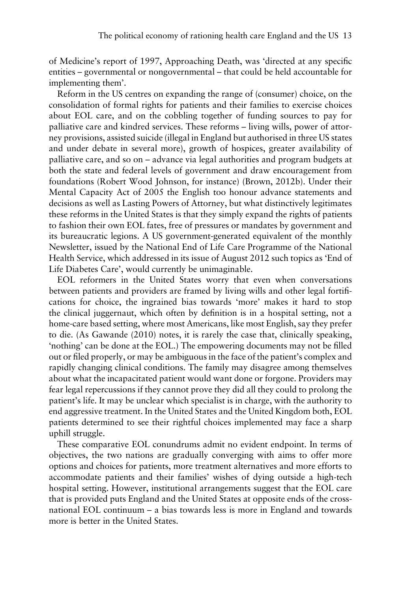of Medicine's report of 1997, Approaching Death, was 'directed at any specific entities – governmental or nongovernmental – that could be held accountable for implementing them'.

Reform in the US centres on expanding the range of (consumer) choice, on the consolidation of formal rights for patients and their families to exercise choices about EOL care, and on the cobbling together of funding sources to pay for palliative care and kindred services. These reforms – living wills, power of attorney provisions, assisted suicide (illegal in England but authorised in three US states and under debate in several more), growth of hospices, greater availability of palliative care, and so on – advance via legal authorities and program budgets at both the state and federal levels of government and draw encouragement from foundations (Robert Wood Johnson, for instance) (Brown, [2012](#page-20-0)b). Under their Mental Capacity Act of [2005](#page-19-0) the English too honour advance statements and decisions as well as Lasting Powers of Attorney, but what distinctively legitimates these reforms in the United States is that they simply expand the rights of patients to fashion their own EOL fates, free of pressures or mandates by government and its bureaucratic legions. A US government-generated equivalent of the monthly Newsletter, issued by the National End of Life Care Programme of the National Health Service, which addressed in its issue of August 2012 such topics as 'End of Life Diabetes Care', would currently be unimaginable.

EOL reformers in the United States worry that even when conversations between patients and providers are framed by living wills and other legal fortifications for choice, the ingrained bias towards 'more' makes it hard to stop the clinical juggernaut, which often by definition is in a hospital setting, not a home-care based setting, where most Americans, like most English, say they prefer to die. (As Gawande [\(2010](#page-21-0)) notes, it is rarely the case that, clinically speaking, 'nothing' can be done at the EOL.) The empowering documents may not be filled out or filed properly, or may be ambiguous in the face of the patient's complex and rapidly changing clinical conditions. The family may disagree among themselves about what the incapacitated patient would want done or forgone. Providers may fear legal repercussions if they cannot prove they did all they could to prolong the patient's life. It may be unclear which specialist is in charge, with the authority to end aggressive treatment. In the United States and the United Kingdom both, EOL patients determined to see their rightful choices implemented may face a sharp uphill struggle.

These comparative EOL conundrums admit no evident endpoint. In terms of objectives, the two nations are gradually converging with aims to offer more options and choices for patients, more treatment alternatives and more efforts to accommodate patients and their families' wishes of dying outside a high-tech hospital setting. However, institutional arrangements suggest that the EOL care that is provided puts England and the United States at opposite ends of the crossnational EOL continuum – a bias towards less is more in England and towards more is better in the United States.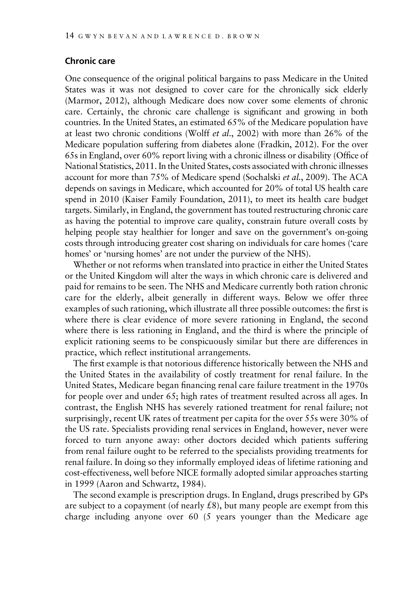#### Chronic care

One consequence of the original political bargains to pass Medicare in the United States was it was not designed to cover care for the chronically sick elderly (Marmor, [2012](#page-21-0)), although Medicare does now cover some elements of chronic care. Certainly, the chronic care challenge is significant and growing in both countries. In the United States, an estimated 65% of the Medicare population have at least two chronic conditions (Wolff et al., [2002\)](#page-23-0) with more than 26% of the Medicare population suffering from diabetes alone (Fradkin, [2012](#page-21-0)). For the over 65s in England, over 60% report living with a chronic illness or disability (Office of National Statistics, [2011.](#page-22-0) In the United States, costs associated with chronic illnesses account for more than 75% of Medicare spend (Sochalski et al., [2009](#page-22-0)). The ACA depends on savings in Medicare, which accounted for 20% of total US health care spend in 2010 (Kaiser Family Foundation, [2011\)](#page-21-0), to meet its health care budget targets. Similarly, in England, the government has touted restructuring chronic care as having the potential to improve care quality, constrain future overall costs by helping people stay healthier for longer and save on the government's on-going costs through introducing greater cost sharing on individuals for care homes ('care homes' or 'nursing homes' are not under the purview of the NHS).

Whether or not reforms when translated into practice in either the United States or the United Kingdom will alter the ways in which chronic care is delivered and paid for remains to be seen. The NHS and Medicare currently both ration chronic care for the elderly, albeit generally in different ways. Below we offer three examples of such rationing, which illustrate all three possible outcomes: the first is where there is clear evidence of more severe rationing in England, the second where there is less rationing in England, and the third is where the principle of explicit rationing seems to be conspicuously similar but there are differences in practice, which reflect institutional arrangements.

The first example is that notorious difference historically between the NHS and the United States in the availability of costly treatment for renal failure. In the United States, Medicare began financing renal care failure treatment in the 1970s for people over and under 65; high rates of treatment resulted across all ages. In contrast, the English NHS has severely rationed treatment for renal failure; not surprisingly, recent UK rates of treatment per capita for the over 55s were 30% of the US rate. Specialists providing renal services in England, however, never were forced to turn anyone away: other doctors decided which patients suffering from renal failure ought to be referred to the specialists providing treatments for renal failure. In doing so they informally employed ideas of lifetime rationing and cost-effectiveness, well before NICE formally adopted similar approaches starting in 1999 (Aaron and Schwartz, [1984\)](#page-19-0).

The second example is prescription drugs. In England, drugs prescribed by GPs are subject to a copayment (of nearly  $£8$ ), but many people are exempt from this charge including anyone over 60 (5 years younger than the Medicare age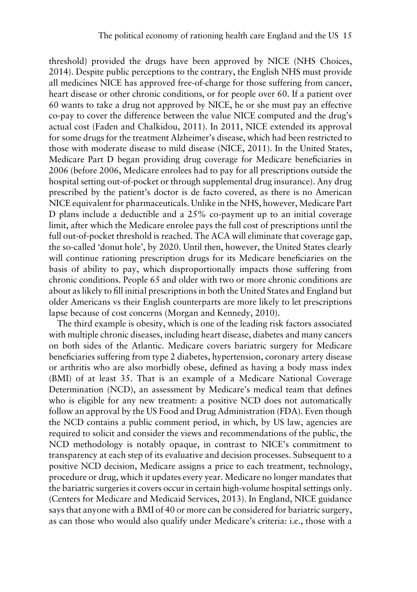threshold) provided the drugs have been approved by NICE (NHS Choices, [2014\)](#page-21-0). Despite public perceptions to the contrary, the English NHS must provide all medicines NICE has approved free-of-charge for those suffering from cancer, heart disease or other chronic conditions, or for people over 60. If a patient over 60 wants to take a drug not approved by NICE, he or she must pay an effective co-pay to cover the difference between the value NICE computed and the drug's actual cost (Faden and Chalkidou, [2011](#page-20-0)). In 2011, NICE extended its approval for some drugs for the treatment Alzheimer's disease, which had been restricted to those with moderate disease to mild disease (NICE, [2011\)](#page-21-0). In the United States, Medicare Part D began providing drug coverage for Medicare beneficiaries in 2006 (before 2006, Medicare enrolees had to pay for all prescriptions outside the hospital setting out-of-pocket or through supplemental drug insurance). Any drug prescribed by the patient's doctor is de facto covered, as there is no American NICE equivalent for pharmaceuticals. Unlike in the NHS, however, Medicare Part D plans include a deductible and a 25% co-payment up to an initial coverage limit, after which the Medicare enrolee pays the full cost of prescriptions until the full out-of-pocket threshold is reached. The ACA will eliminate that coverage gap, the so-called 'donut hole', by 2020. Until then, however, the United States clearly will continue rationing prescription drugs for its Medicare beneficiaries on the basis of ability to pay, which disproportionally impacts those suffering from chronic conditions. People 65 and older with two or more chronic conditions are about as likely to fill initial prescriptions in both the United States and England but older Americans vs their English counterparts are more likely to let prescriptions lapse because of cost concerns (Morgan and Kennedy, [2010\)](#page-21-0).

The third example is obesity, which is one of the leading risk factors associated with multiple chronic diseases, including heart disease, diabetes and many cancers on both sides of the Atlantic. Medicare covers bariatric surgery for Medicare beneficiaries suffering from type 2 diabetes, hypertension, coronary artery disease or arthritis who are also morbidly obese, defined as having a body mass index (BMI) of at least 35. That is an example of a Medicare National Coverage Determination (NCD), an assessment by Medicare's medical team that defines who is eligible for any new treatment: a positive NCD does not automatically follow an approval by the US Food and Drug Administration (FDA). Even though the NCD contains a public comment period, in which, by US law, agencies are required to solicit and consider the views and recommendations of the public, the NCD methodology is notably opaque, in contrast to NICE's commitment to transparency at each step of its evaluative and decision processes. Subsequent to a positive NCD decision, Medicare assigns a price to each treatment, technology, procedure or drug, which it updates every year. Medicare no longer mandates that the bariatric surgeries it covers occur in certain high-volume hospital settings only. (Centers for Medicare and Medicaid Services, [2013](#page-20-0)). In England, NICE guidance says that anyone with a BMI of 40 or more can be considered for bariatric surgery, as can those who would also qualify under Medicare's criteria: i.e., those with a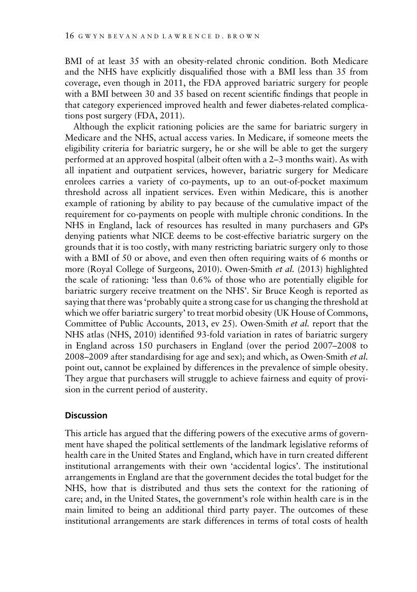BMI of at least 35 with an obesity-related chronic condition. Both Medicare and the NHS have explicitly disqualified those with a BMI less than 35 from coverage, even though in 2011, the FDA approved bariatric surgery for people with a BMI between 30 and 35 based on recent scientific findings that people in that category experienced improved health and fewer diabetes-related complications post surgery (FDA, [2011](#page-20-0)).

Although the explicit rationing policies are the same for bariatric surgery in Medicare and the NHS, actual access varies. In Medicare, if someone meets the eligibility criteria for bariatric surgery, he or she will be able to get the surgery performed at an approved hospital (albeit often with a 2–3 months wait). As with all inpatient and outpatient services, however, bariatric surgery for Medicare enrolees carries a variety of co-payments, up to an out-of-pocket maximum threshold across all inpatient services. Even within Medicare, this is another example of rationing by ability to pay because of the cumulative impact of the requirement for co-payments on people with multiple chronic conditions. In the NHS in England, lack of resources has resulted in many purchasers and GPs denying patients what NICE deems to be cost-effective bariatric surgery on the grounds that it is too costly, with many restricting bariatric surgery only to those with a BMI of 50 or above, and even then often requiring waits of 6 months or more (Royal College of Surgeons, 2010). Owen-Smith et al. [\(2013](#page-22-0)) highlighted the scale of rationing: 'less than 0.6% of those who are potentially eligible for bariatric surgery receive treatment on the NHS'. Sir Bruce Keogh is reported as saying that there was 'probably quite a strong case for us changing the threshold at which we offer bariatric surgery' to treat morbid obesity (UK House of Commons, Committee of Public Accounts, [2013,](#page-22-0) ev 25). Owen-Smith et al. report that the NHS atlas (NHS, [2010\)](#page-21-0) identified 93-fold variation in rates of bariatric surgery in England across 150 purchasers in England (over the period 2007–2008 to 2008–2009 after standardising for age and sex); and which, as Owen-Smith et al. point out, cannot be explained by differences in the prevalence of simple obesity. They argue that purchasers will struggle to achieve fairness and equity of provision in the current period of austerity.

#### **Discussion**

This article has argued that the differing powers of the executive arms of government have shaped the political settlements of the landmark legislative reforms of health care in the United States and England, which have in turn created different institutional arrangements with their own 'accidental logics'. The institutional arrangements in England are that the government decides the total budget for the NHS, how that is distributed and thus sets the context for the rationing of care; and, in the United States, the government's role within health care is in the main limited to being an additional third party payer. The outcomes of these institutional arrangements are stark differences in terms of total costs of health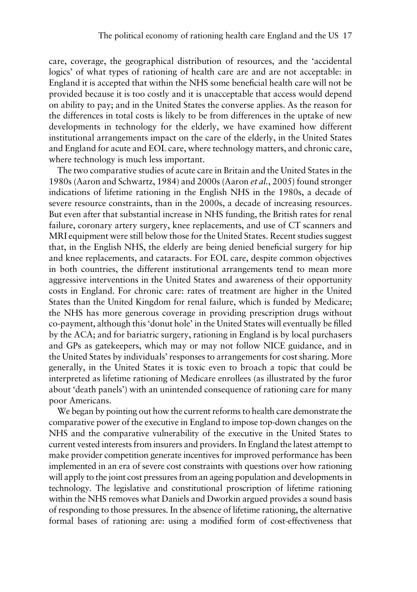care, coverage, the geographical distribution of resources, and the 'accidental logics' of what types of rationing of health care are and are not acceptable: in England it is accepted that within the NHS some beneficial health care will not be provided because it is too costly and it is unacceptable that access would depend on ability to pay; and in the United States the converse applies. As the reason for the differences in total costs is likely to be from differences in the uptake of new developments in technology for the elderly, we have examined how different institutional arrangements impact on the care of the elderly, in the United States and England for acute and EOL care, where technology matters, and chronic care, where technology is much less important.

The two comparative studies of acute care in Britain and the United States in the 1980s (Aaron and Schwartz, [1984\)](#page-19-0) and 2000s (Aaron et al., [2005](#page-19-0)) found stronger indications of lifetime rationing in the English NHS in the 1980s, a decade of severe resource constraints, than in the 2000s, a decade of increasing resources. But even after that substantial increase in NHS funding, the British rates for renal failure, coronary artery surgery, knee replacements, and use of CT scanners and MRI equipment were still below those for the United States. Recent studies suggest that, in the English NHS, the elderly are being denied beneficial surgery for hip and knee replacements, and cataracts. For EOL care, despite common objectives in both countries, the different institutional arrangements tend to mean more aggressive interventions in the United States and awareness of their opportunity costs in England. For chronic care: rates of treatment are higher in the United States than the United Kingdom for renal failure, which is funded by Medicare; the NHS has more generous coverage in providing prescription drugs without co-payment, although this 'donut hole' in the United States will eventually be filled by the ACA; and for bariatric surgery, rationing in England is by local purchasers and GPs as gatekeepers, which may or may not follow NICE guidance, and in the United States by individuals' responses to arrangements for cost sharing. More generally, in the United States it is toxic even to broach a topic that could be interpreted as lifetime rationing of Medicare enrollees (as illustrated by the furor about 'death panels') with an unintended consequence of rationing care for many poor Americans.

We began by pointing out how the current reforms to health care demonstrate the comparative power of the executive in England to impose top-down changes on the NHS and the comparative vulnerability of the executive in the United States to current vested interests from insurers and providers. In England the latest attempt to make provider competition generate incentives for improved performance has been implemented in an era of severe cost constraints with questions over how rationing will apply to the joint cost pressures from an ageing population and developments in technology. The legislative and constitutional proscription of lifetime rationing within the NHS removes what Daniels and Dworkin argued provides a sound basis of responding to those pressures. In the absence of lifetime rationing, the alternative formal bases of rationing are: using a modified form of cost-effectiveness that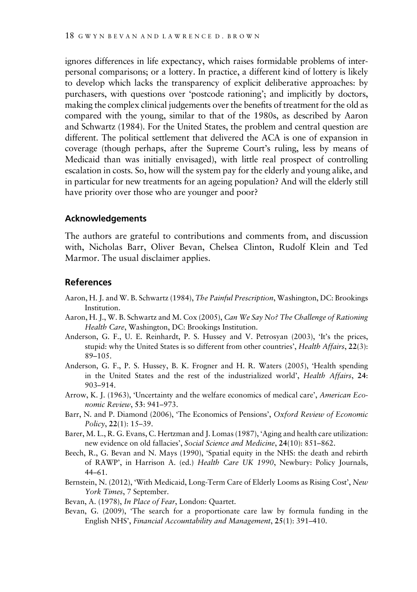<span id="page-19-0"></span>ignores differences in life expectancy, which raises formidable problems of interpersonal comparisons; or a lottery. In practice, a different kind of lottery is likely to develop which lacks the transparency of explicit deliberative approaches: by purchasers, with questions over 'postcode rationing'; and implicitly by doctors, making the complex clinical judgements over the benefits of treatment for the old as compared with the young, similar to that of the 1980s, as described by Aaron and Schwartz (1984). For the United States, the problem and central question are different. The political settlement that delivered the ACA is one of expansion in coverage (though perhaps, after the Supreme Court's ruling, less by means of Medicaid than was initially envisaged), with little real prospect of controlling escalation in costs. So, how will the system pay for the elderly and young alike, and in particular for new treatments for an ageing population? And will the elderly still have priority over those who are younger and poor?

#### Acknowledgements

The authors are grateful to contributions and comments from, and discussion with, Nicholas Barr, Oliver Bevan, Chelsea Clinton, Rudolf Klein and Ted Marmor. The usual disclaimer applies.

#### References

- Aaron, H. J. and W. B. Schwartz (1984), The Painful Prescription, Washington, DC: Brookings Institution.
- Aaron, H. J., W. B. Schwartz and M. Cox (2005), Can We Say No? The Challenge of Rationing Health Care, Washington, DC: Brookings Institution.
- Anderson, G. F., U. E. Reinhardt, P. S. Hussey and V. Petrosyan (2003), 'It's the prices, stupid: why the United States is so different from other countries', Health Affairs, 22(3): 89–105.
- Anderson, G. F., P. S. Hussey, B. K. Frogner and H. R. Waters (2005), 'Health spending in the United States and the rest of the industrialized world', Health Affairs, 24: 903–914.
- Arrow, K. J. (1963), 'Uncertainty and the welfare economics of medical care', American Economic Review, 53: 941–973.
- Barr, N. and P. Diamond (2006), 'The Economics of Pensions', Oxford Review of Economic Policy, 22(1): 15–39.
- Barer, M. L., R. G. Evans, C. Hertzman and J. Lomas (1987), 'Aging and health care utilization: new evidence on old fallacies', Social Science and Medicine, 24(10): 851–862.
- Beech, R., G. Bevan and N. Mays (1990), 'Spatial equity in the NHS: the death and rebirth of RAWP', in Harrison A. (ed.) Health Care UK 1990, Newbury: Policy Journals, 44–61.
- Bernstein, N. (2012), 'With Medicaid, Long-Term Care of Elderly Looms as Rising Cost', New York Times, 7 September.
- Bevan, A. (1978), In Place of Fear, London: Quartet.
- Bevan, G. (2009), 'The search for a proportionate care law by formula funding in the English NHS', Financial Accountability and Management, 25(1): 391–410.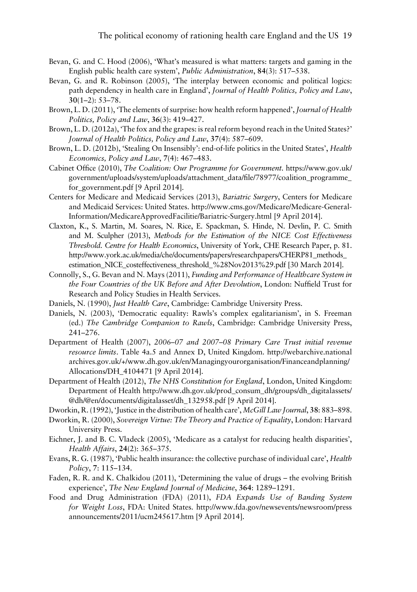- <span id="page-20-0"></span>Bevan, G. and C. Hood (2006), 'What's measured is what matters: targets and gaming in the English public health care system', Public Administration, 84(3): 517–538.
- Bevan, G. and R. Robinson (2005), 'The interplay between economic and political logics: path dependency in health care in England', Journal of Health Politics, Policy and Law, 30(1–2): 53–78.
- Brown, L. D. (2011), 'The elements of surprise: how health reform happened', Journal of Health Politics, Policy and Law, 36(3): 419–427.
- Brown, L. D. (2012a), 'The fox and the grapes: is real reform beyond reach in the United States?' Journal of Health Politics, Policy and Law, 37(4): 587–609.
- Brown, L. D. (2012b), 'Stealing On Insensibly': end-of-life politics in the United States', Health Economics, Policy and Law, 7(4): 467–483.
- Cabinet Office (2010), The Coalition: Our Programme for Government. [https://www.gov.uk/](https://www.gov.uk/government/uploads/system/uploads/attachment_data/file/78977/coalition_programme_for_government.pdf) [government/uploads/system/uploads/attachment\\_data/](https://www.gov.uk/government/uploads/system/uploads/attachment_data/file/78977/coalition_programme_for_government.pdf)file/78977/coalition\_programme\_ [for\\_government.pdf](https://www.gov.uk/government/uploads/system/uploads/attachment_data/file/78977/coalition_programme_for_government.pdf) [9 April 2014].
- Centers for Medicare and Medicaid Services (2013), Bariatric Surgery, Centers for Medicare and Medicaid Services: United States. [http://www.cms.gov/Medicare/Medicare-General-](http://www.cms.gov/Medicare/Medicare-General-Information/MedicareApprovedFacilitie/Bariatric-Surgery.html)[Information/MedicareApprovedFacilitie/Bariatric-Surgery.html](http://www.cms.gov/Medicare/Medicare-General-Information/MedicareApprovedFacilitie/Bariatric-Surgery.html) [9 April 2014].
- Claxton, K., S. Martin, M. Soares, N. Rice, E. Spackman, S. Hinde, N. Devlin, P. C. Smith and M. Sculpher (2013), Methods for the Estimation of the NICE Cost Effectiveness Threshold. Centre for Health Economics, University of York, CHE Research Paper, p. 81. [http://www.york.ac.uk/media/che/documents/papers/researchpapers/CHERP81\\_methods\\_](http://www.york.ac.uk/media/che/documents/papers/researchpapers/CHERP81_methods_estimation_NICE_costeffectiveness_threshold_%28Nov2013%29.pdf) [estimation\\_NICE\\_costeffectiveness\\_threshold\\_%28Nov2013%29.pdf](http://www.york.ac.uk/media/che/documents/papers/researchpapers/CHERP81_methods_estimation_NICE_costeffectiveness_threshold_%28Nov2013%29.pdf) [30 March 2014].
- Connolly, S., G. Bevan and N. Mays (2011), Funding and Performance of Healthcare System in the Four Countries of the UK Before and After Devolution, London: Nuffield Trust for Research and Policy Studies in Health Services.
- Daniels, N. (1990), *Just Health Care*, Cambridge: Cambridge University Press.
- Daniels, N. (2003), 'Democratic equality: Rawls's complex egalitarianism', in S. Freeman (ed.) The Cambridge Companion to Rawls, Cambridge: Cambridge University Press, 241–276.
- Department of Health (2007), 2006–07 and 2007–08 Primary Care Trust initial revenue resource limits. Table 4a.5 and Annex D, United Kingdom. [http://webarchive.national](http://webarchive.nationalarchives.gov.uk/+/www.dh.gov.uk/en/Managingyourorganisation/Financeandplanning/Allocations/DH_4104471) [archives.gov.uk/+/www.dh.gov.uk/en/Managingyourorganisation/Financeandplanning/](http://webarchive.nationalarchives.gov.uk/+/www.dh.gov.uk/en/Managingyourorganisation/Financeandplanning/Allocations/DH_4104471) [Allocations/DH\\_4104471](http://webarchive.nationalarchives.gov.uk/+/www.dh.gov.uk/en/Managingyourorganisation/Financeandplanning/Allocations/DH_4104471) [9 April 2014].
- Department of Health (2012), The NHS Constitution for England, London, United Kingdom: Department of Health [http://www.dh.gov.uk/prod\\_consum\\_dh/groups/dh\\_digitalassets/](http://www.dh.gov.uk/prod_consum_dh/groups/dh_digitalassets/@dh/@en/documents/digitalasset/dh_132958.pdf) [@dh/@en/documents/digitalasset/dh\\_132958.pdf](http://www.dh.gov.uk/prod_consum_dh/groups/dh_digitalassets/@dh/@en/documents/digitalasset/dh_132958.pdf) [9 April 2014].
- Dworkin, R. (1992), 'Justice in the distribution of health care', McGill Law Journal, 38: 883-898.
- Dworkin, R. (2000), Sovereign Virtue: The Theory and Practice of Equality, London: Harvard University Press.
- Eichner, J. and B. C. Vladeck (2005), 'Medicare as a catalyst for reducing health disparities', Health Affairs, 24(2): 365–375.
- Evans, R. G. (1987), 'Public health insurance: the collective purchase of individual care', Health Policy, 7: 115–134.
- Faden, R. R. and K. Chalkidou (2011), 'Determining the value of drugs the evolving British experience', The New England Journal of Medicine, 364: 1289–1291.
- Food and Drug Administration (FDA) (2011), FDA Expands Use of Banding System for Weight Loss, FDA: United States. [http://www.fda.gov/newsevents/newsroom/press](http://www.fda.gov/NewsEvents/Newsroom/PressAnnouncements/ucm245617.htm) [announcements/2011/ucm245617.htm](http://www.fda.gov/NewsEvents/Newsroom/PressAnnouncements/ucm245617.htm) [9 April 2014].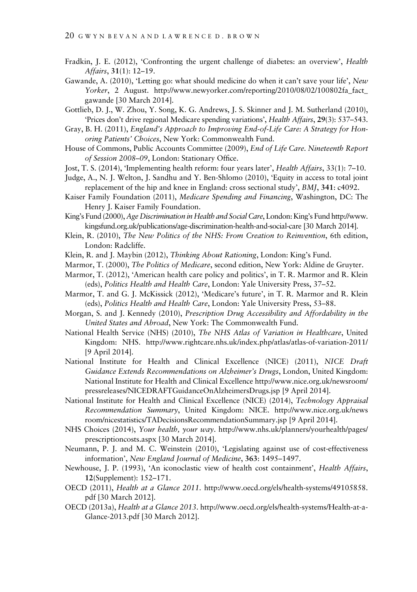- <span id="page-21-0"></span>Fradkin, J. E. (2012), 'Confronting the urgent challenge of diabetes: an overview', *Health* Affairs, 31(1): 12–19.
- Gawande, A. (2010), 'Letting go: what should medicine do when it can't save your life', New Yorker, 2 August. [http://www.newyorker.com/reporting/2010/08/02/100802fa\\_fact\\_](http://www.fda.gov/NewsEvents/Newsroom/PressAnnouncements/ucm245617.htm) [gawande](http://www.fda.gov/NewsEvents/Newsroom/PressAnnouncements/ucm245617.htm) [30 March 2014].
- Gottlieb, D. J., W. Zhou, Y. Song, K. G. Andrews, J. S. Skinner and J. M. Sutherland (2010), 'Prices don't drive regional Medicare spending variations', Health Affairs, 29(3): 537–543.
- Gray, B. H. (2011), England's Approach to Improving End-of-Life Care: A Strategy for Honoring Patients' Choices, New York: Commonwealth Fund.
- House of Commons, Public Accounts Committee (2009), End of Life Care. Nineteenth Report of Session 2008–09, London: Stationary Office.
- Jost, T. S. (2014), 'Implementing health reform: four years later', Health Affairs, 33(1): 7–10.
- Judge, A., N. J. Welton, J. Sandhu and Y. Ben-Shlomo (2010), 'Equity in access to total joint replacement of the hip and knee in England: cross sectional study', BMJ, 341: c4092.
- Kaiser Family Foundation (2011), Medicare Spending and Financing, Washington, DC: The Henry J. Kaiser Family Foundation.
- King's Fund (2000), Age Discrimination in Health and Social Care, London: King's Fund [http://www.](http://www.kingsfund.org.uk/publications/age-discrimination-health-and-social-care) [kingsfund.org.uk/publications/age-discrimination-health-and-social-care](http://www.kingsfund.org.uk/publications/age-discrimination-health-and-social-care) [30 March 2014].
- Klein, R. (2010), The New Politics of the NHS: From Creation to Reinvention, 6th edition, London: Radcliffe.
- Klein, R. and J. Maybin (2012), Thinking About Rationing, London: King's Fund.
- Marmor, T. (2000), The Politics of Medicare, second edition, New York: Aldine de Gruyter.
- Marmor, T. (2012), 'American health care policy and politics', in T. R. Marmor and R. Klein (eds), Politics Health and Health Care, London: Yale University Press, 37–52.
- Marmor, T. and G. J. McKissick (2012), 'Medicare's future', in T. R. Marmor and R. Klein (eds), Politics Health and Health Care, London: Yale University Press, 53–88.
- Morgan, S. and J. Kennedy (2010), Prescription Drug Accessibility and Affordability in the United States and Abroad, New York: The Commonwealth Fund.
- National Health Service (NHS) (2010), The NHS Atlas of Variation in Healthcare, United Kingdom: NHS.<http://www.rightcare.nhs.uk/index.php/atlas/atlas-of-variation-2011/> [9 April 2014].
- National Institute for Health and Clinical Excellence (NICE) (2011), NICE Draft Guidance Extends Recommendations on Alzheimer's Drugs, London, United Kingdom: National Institute for Health and Clinical Excellence [http://www.nice.org.uk/newsroom/](http://www.nice.org.uk/newsroom/pressreleases/NICEDRAFTGuidanceOnAlzheimersDrugs.jsp) [pressreleases/NICEDRAFTGuidanceOnAlzheimersDrugs.jsp](http://www.nice.org.uk/newsroom/pressreleases/NICEDRAFTGuidanceOnAlzheimersDrugs.jsp) [9 April 2014].
- National Institute for Health and Clinical Excellence (NICE) (2014), Technology Appraisal Recommendation Summary, United Kingdom: NICE. [http://www.nice.org.uk/news](http://www.nice.org.uk/newsroom/nicestatistics/TADecisionsRecommendationSummary.jsp) [room/nicestatistics/TADecisionsRecommendationSummary.jsp](http://www.nice.org.uk/newsroom/nicestatistics/TADecisionsRecommendationSummary.jsp) [9 April 2014].
- NHS Choices (2014), Your health, your way. [http://www.nhs.uk/planners/yourhealth/pages/](http://www.nhs.uk/NHSEngland/AboutNHSservices/pharmacists/Pages/pharmacistsandchemists.aspx) [prescriptioncosts.aspx](http://www.nhs.uk/NHSEngland/AboutNHSservices/pharmacists/Pages/pharmacistsandchemists.aspx) [30 March 2014].
- Neumann, P. J. and M. C. Weinstein (2010), 'Legislating against use of cost-effectiveness information', New England Journal of Medicine, 363: 1495–1497.
- Newhouse, J. P. (1993), 'An iconoclastic view of health cost containment', Health Affairs, 12(Supplement): 152–171.
- OECD (2011), Health at a Glance 2011. [http://www.oecd.org/els/health-systems/49105858.](http://www.oecd.org/els/health-systems/49105858.pdf) [pdf](http://www.oecd.org/els/health-systems/49105858.pdf) [30 March 2012].
- OECD (2013a), Health at a Glance 2013. [http://www.oecd.org/els/health-systems/Health-at-a-](http://www.oecd.org/els/health-systems/Health-at-a-Glance-2013.pdf)[Glance-2013.pdf](http://www.oecd.org/els/health-systems/Health-at-a-Glance-2013.pdf) [30 March 2012].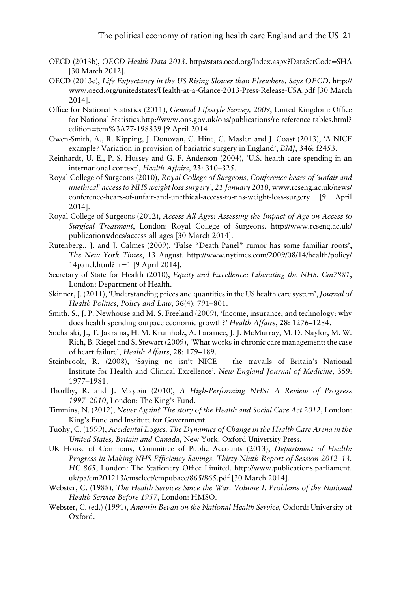- <span id="page-22-0"></span><OECD> (2013b), OECD Health Data 2013. [http://stats.oecd.org/Index.aspx?DataSetCode](http://stats.oecd.org/Index.aspx?DataSetCode=SHA)=SHA [30 March 2012].
- OECD (2013c), Life Expectancy in the US Rising Slower than Elsewhere, Says OECD. [http://](http://www.oecd.org/unitedstates/Briefing-Note-USA�-�2013.pdf) [www.oecd.org/unitedstates/Health-at-a-Glance-2013-Press-Release-USA.pdf](http://www.oecd.org/unitedstates/Briefing-Note-USA�-�2013.pdf) [30 March 2014].
- Office for National Statistics (2011), General Lifestyle Survey, 2009, United Kingdom: Office for National Statistics[.http://www.ons.gov.uk/ons/publications/re-reference-tables.html?](http://www.ons.gov.uk/ons/publications/re-reference-tables.html?edition=tcm%3A77-198839) edition=[tcm%3A77-198839](http://www.ons.gov.uk/ons/publications/re-reference-tables.html?edition=tcm%3A77-198839) [9 April 2014].
- Owen-Smith, A., R. Kipping, J. Donovan, C. Hine, C. Maslen and J. Coast (2013), 'A NICE example? Variation in provision of bariatric surgery in England', BMJ, 346: f2453.
- Reinhardt, U. E., P. S. Hussey and G. F. Anderson (2004), 'U.S. health care spending in an international context', Health Affairs, 23: 310–325.
- Royal College of Surgeons (2010), Royal College of Surgeons, Conference hears of 'unfair and unethical' access to NHS weight loss surgery', 21 January 2010, [www.rcseng.ac.uk/news/](http://www.rcseng.ac.uk/publications/docs/access-all-ages) [conference-hears-of-unfair-and-unethical-access-to-nhs-weight-loss-surgery](http://www.rcseng.ac.uk/publications/docs/access-all-ages) [9 April 2014].
- Royal College of Surgeons (2012), Access All Ages: Assessing the Impact of Age on Access to Surgical Treatment, London: Royal College of Surgeons. [http://www.rcseng.ac.uk/](http://www.rcseng.ac.uk/publications/docs/access-all-ages) [publications/docs/access-all-ages](http://www.rcseng.ac.uk/publications/docs/access-all-ages) [30 March 2014].
- Rutenberg., J. and J. Calmes (2009), 'False "Death Panel" rumor has some familiar roots', The New York Times, 13 August. [http://www.nytimes.com/2009/08/14/health/policy/](http://www.nytimes.com/2009�/�08/14/health/policy/14panel.html?_r=1) [14panel.html?\\_r](http://www.nytimes.com/2009�/�08/14/health/policy/14panel.html?_r=1)=1 [9 April 2014].
- Secretary of State for Health (2010), Equity and Excellence: Liberating the NHS. Cm7881, London: Department of Health.
- Skinner, J. (2011), 'Understanding prices and quantities in the US health care system', Journal of Health Politics, Policy and Law, 36(4): 791–801.
- Smith, S., J. P. Newhouse and M. S. Freeland (2009), 'Income, insurance, and technology: why does health spending outpace economic growth?' Health Affairs, 28: 1276–1284.
- Sochalski, J., T. Jaarsma, H. M. Krumholz, A. Laramee, J. J. McMurray, M. D. Naylor, M. W. Rich, B. Riegel and S. Stewart (2009), 'What works in chronic care management: the case of heart failure', Health Affairs, 28: 179–189.
- Steinbrook, R. (2008), 'Saying no isn't NICE the travails of Britain's National Institute for Health and Clinical Excellence', New England Journal of Medicine, 359: 1977–1981.
- Thorlby, R. and J. Maybin (2010), A High-Performing NHS? A Review of Progress 1997–2010, London: The King's Fund.
- Timmins, N. (2012), Never Again? The story of the Health and Social Care Act 2012, London: King's Fund and Institute for Government.
- Tuohy, C. (1999), Accidental Logics. The Dynamics of Change in the Health Care Arena in the United States, Britain and Canada, New York: Oxford University Press.
- UK House of Commons, Committee of Public Accounts (2013), Department of Health: Progress in Making NHS Efficiency Savings. Thirty-Ninth Report of Session 2012–13. HC 865, London: The Stationery Office Limited. [http://www.publications.parliament.](http://www.publications.parliament.uk/pa/cm201213/cmselect/cmpubacc/865�/�865.pdf) [uk/pa/cm201213/cmselect/cmpubacc/865/865.pdf](http://www.publications.parliament.uk/pa/cm201213/cmselect/cmpubacc/865�/�865.pdf) [30 March 2014].
- Webster, C. (1988), The Health Services Since the War. Volume I. Problems of the National Health Service Before 1957, London: HMSO.
- Webster, C. (ed.) (1991), Aneurin Bevan on the National Health Service, Oxford: University of Oxford.